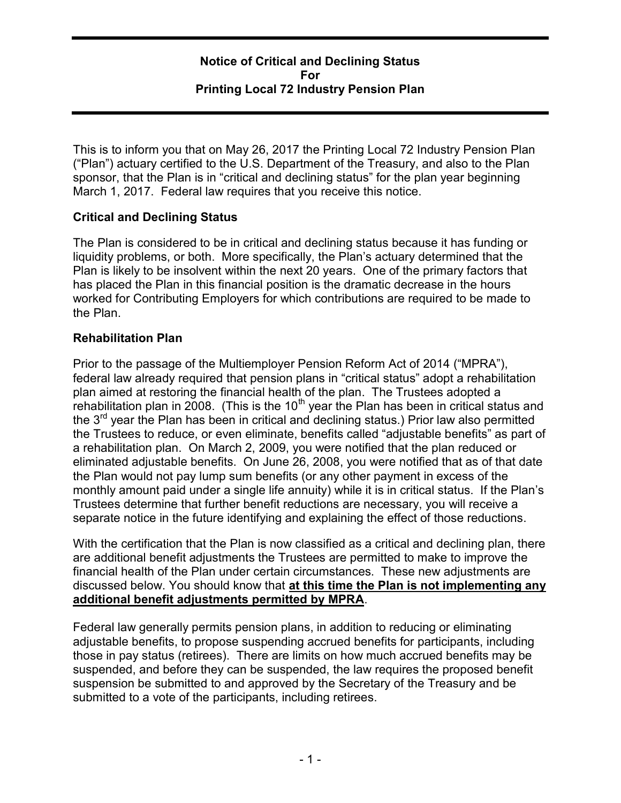### Notice of Critical and Declining Status For Printing Local 72 Industry Pension Plan

This is to inform you that on May 26, 2017 the Printing Local 72 Industry Pension Plan ("Plan") actuary certified to the U.S. Department of the Treasury, and also to the Plan sponsor, that the Plan is in "critical and declining status" for the plan year beginning March 1, 2017. Federal law requires that you receive this notice.

# Critical and Declining Status

The Plan is considered to be in critical and declining status because it has funding or liquidity problems, or both. More specifically, the Plan's actuary determined that the Plan is likely to be insolvent within the next 20 years. One of the primary factors that has placed the Plan in this financial position is the dramatic decrease in the hours worked for Contributing Employers for which contributions are required to be made to the Plan.

# Rehabilitation Plan

Prior to the passage of the Multiemployer Pension Reform Act of 2014 ("MPRA"), federal law already required that pension plans in "critical status" adopt a rehabilitation plan aimed at restoring the financial health of the plan. The Trustees adopted a rehabilitation plan in 2008. (This is the  $10<sup>th</sup>$  year the Plan has been in critical status and the  $3<sup>rd</sup>$  year the Plan has been in critical and declining status.) Prior law also permitted the Trustees to reduce, or even eliminate, benefits called "adjustable benefits" as part of a rehabilitation plan. On March 2, 2009, you were notified that the plan reduced or eliminated adjustable benefits. On June 26, 2008, you were notified that as of that date the Plan would not pay lump sum benefits (or any other payment in excess of the monthly amount paid under a single life annuity) while it is in critical status. If the Plan's Trustees determine that further benefit reductions are necessary, you will receive a separate notice in the future identifying and explaining the effect of those reductions.

With the certification that the Plan is now classified as a critical and declining plan, there are additional benefit adjustments the Trustees are permitted to make to improve the financial health of the Plan under certain circumstances. These new adjustments are discussed below. You should know that at this time the Plan is not implementing any additional benefit adjustments permitted by MPRA.

Federal law generally permits pension plans, in addition to reducing or eliminating adjustable benefits, to propose suspending accrued benefits for participants, including those in pay status (retirees). There are limits on how much accrued benefits may be suspended, and before they can be suspended, the law requires the proposed benefit suspension be submitted to and approved by the Secretary of the Treasury and be submitted to a vote of the participants, including retirees.